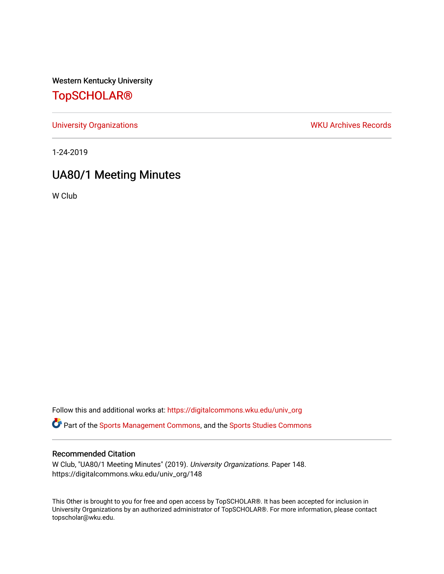Western Kentucky University

# [TopSCHOLAR®](https://digitalcommons.wku.edu/)

[University Organizations](https://digitalcommons.wku.edu/univ_org) **WKU Archives Records** 

1-24-2019

# UA80/1 Meeting Minutes

W Club

Follow this and additional works at: [https://digitalcommons.wku.edu/univ\\_org](https://digitalcommons.wku.edu/univ_org?utm_source=digitalcommons.wku.edu%2Funiv_org%2F148&utm_medium=PDF&utm_campaign=PDFCoverPages) 

**C** Part of the [Sports Management Commons](http://network.bepress.com/hgg/discipline/1193?utm_source=digitalcommons.wku.edu%2Funiv_org%2F148&utm_medium=PDF&utm_campaign=PDFCoverPages), and the [Sports Studies Commons](http://network.bepress.com/hgg/discipline/1198?utm_source=digitalcommons.wku.edu%2Funiv_org%2F148&utm_medium=PDF&utm_campaign=PDFCoverPages)

### Recommended Citation

W Club, "UA80/1 Meeting Minutes" (2019). University Organizations. Paper 148. https://digitalcommons.wku.edu/univ\_org/148

This Other is brought to you for free and open access by TopSCHOLAR®. It has been accepted for inclusion in University Organizations by an authorized administrator of TopSCHOLAR®. For more information, please contact topscholar@wku.edu.